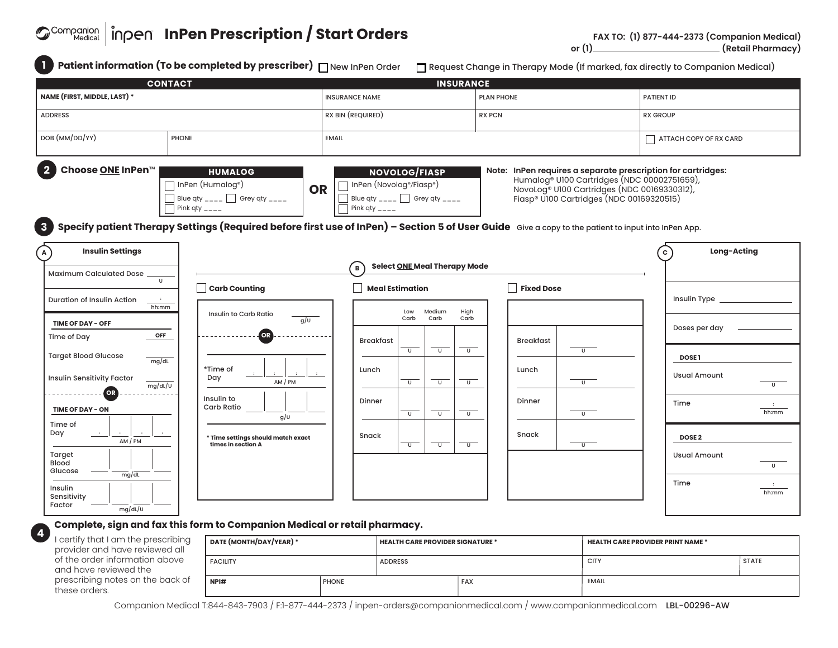# *<b><i>O*<sup>Companion | înpen InPen Prescription / Start Orders</sup>

| <b>CONTACT</b>                                                            |                                                                                                         | <b>INSURANCE</b>                                                                                                                                                                                                                                                                         |                                                                                                                                                                                                                                   |                                                       |  |
|---------------------------------------------------------------------------|---------------------------------------------------------------------------------------------------------|------------------------------------------------------------------------------------------------------------------------------------------------------------------------------------------------------------------------------------------------------------------------------------------|-----------------------------------------------------------------------------------------------------------------------------------------------------------------------------------------------------------------------------------|-------------------------------------------------------|--|
| NAME (FIRST, MIDDLE, LAST) *                                              |                                                                                                         | <b>INSURANCE NAME</b>                                                                                                                                                                                                                                                                    | <b>PLAN PHONE</b>                                                                                                                                                                                                                 | <b>PATIENT ID</b>                                     |  |
| <b>ADDRESS</b>                                                            |                                                                                                         | RX BIN (REQUIRED)                                                                                                                                                                                                                                                                        | <b>RX PCN</b>                                                                                                                                                                                                                     | <b>RX GROUP</b>                                       |  |
| DOB (MM/DD/YY)                                                            | <b>PHONE</b>                                                                                            | <b>EMAIL</b>                                                                                                                                                                                                                                                                             |                                                                                                                                                                                                                                   | ATTACH COPY OF RX CARD                                |  |
| Choose <b>ONE</b> InPen™<br>3                                             | <b>HUMALOG</b><br>InPen (Humalog <sup>®</sup> )<br>Blue qty ____ $\Box$ Grey qty ____<br>Pink qty $---$ | <b>NOVOLOG/FIASP</b><br>InPen (Novolog <sup>®</sup> /Fiasp®)<br><b>OR</b><br>Blue qty ____ $\Box$ Grey qty ____<br>Pink qty $---$<br>Specify patient Therapy Settings (Required before first use of InPen) - Section 5 of User Guide Give a copy to the patient to input into InPen App. | InPen requires a separate prescription for cartridges:<br>Note:<br>Humalog <sup>®</sup> U100 Cartridges (NDC 00002751659),<br>NovoLog <sup>®</sup> U100 Cartridges (NDC 00169330312),<br>Fiasp® U100 Cartridges (NDC 00169320515) |                                                       |  |
| <b>Insulin Settings</b><br>$\mathbf{A}$                                   |                                                                                                         | <b>Select ONE Meal Therapy Mode</b>                                                                                                                                                                                                                                                      |                                                                                                                                                                                                                                   | Long-Acting<br>c                                      |  |
| <b>Maximum Calculated Dose</b><br>$\cup$                                  |                                                                                                         | $\, {\bf B}$                                                                                                                                                                                                                                                                             |                                                                                                                                                                                                                                   |                                                       |  |
| Duration of Insulin Action<br>- 11<br>hh:mm<br>TIME OF DAY - OFF          | Carb Counting<br>Insulin to Carb Ratio<br>g/U                                                           | <b>Meal Estimation</b><br>Medium<br>High<br>Low<br>Carb<br>Carb<br>Carb                                                                                                                                                                                                                  | <b>Fixed Dose</b>                                                                                                                                                                                                                 |                                                       |  |
| OFF<br>Time of Day                                                        | <b>OR</b>                                                                                               | <b>Breakfast</b>                                                                                                                                                                                                                                                                         | <b>Breakfast</b>                                                                                                                                                                                                                  | Doses per day                                         |  |
| <b>Target Blood Glucose</b><br>mg/dL<br><b>Insulin Sensitivity Factor</b> | *Time of<br>Day<br>AM / PM                                                                              | $\cup$<br>$\cup$<br>$\cup$<br>Lunch<br>$\overline{U}$<br>$\overline{U}$<br>$\overline{U}$                                                                                                                                                                                                | $\cup$<br>Lunch<br>$\overline{U}$                                                                                                                                                                                                 | <b>DOSE1</b><br><b>Usual Amount</b><br>$\overline{U}$ |  |
| mg/dL/U<br>OR<br>TIME OF DAY - ON                                         | Insulin to<br>Carb Ratio<br>g/U                                                                         | Dinner<br>$\overline{\mathsf{U}}$<br>$\overline{\mathsf{U}}$<br>$\overline{U}$                                                                                                                                                                                                           | Dinner<br>$\overline{\mathsf{U}}$                                                                                                                                                                                                 | Time<br>$\mathbf{r}$<br>hh:mm                         |  |
| Time of<br>Day<br>$\sim$ 1 $^\circ$<br>AM/PM<br>Target<br>Blood           | * Time settings should match exact<br>times in section A                                                | Snack<br>$\overline{U}$<br>$\overline{U}$<br>$\overline{u}$                                                                                                                                                                                                                              | Snack<br>$\overline{u}$                                                                                                                                                                                                           | DOSE <sub>2</sub><br><b>Usual Amount</b><br>$\cup$    |  |
| Glucose<br>mg/dL<br>Insulin<br>Sensitivity                                |                                                                                                         |                                                                                                                                                                                                                                                                                          |                                                                                                                                                                                                                                   | Time<br>$\cdot$<br>hh:mm                              |  |

### **Complete, sign and fax this form to Companion Medical or retail pharmacy.**

| I certify that I am the prescribing |  |  |  |  |  |
|-------------------------------------|--|--|--|--|--|
| provider and have reviewed all      |  |  |  |  |  |
| of the order information above      |  |  |  |  |  |
| and have reviewed the               |  |  |  |  |  |
| prescribing notes on the back of    |  |  |  |  |  |
| these orders.                       |  |  |  |  |  |
|                                     |  |  |  |  |  |

**4**

| DATE (MONTH/DAY/YEAR) * |              | HEALTH CARE PROVIDER SIGNATURE * |     | <b>HEALTH CARE PROVIDER PRINT NAME *</b> |              |
|-------------------------|--------------|----------------------------------|-----|------------------------------------------|--------------|
| I FACILITY              |              | <b>ADDRESS</b>                   |     | <b>CITY</b>                              | <b>STATE</b> |
| NPI#                    | <b>PHONE</b> |                                  | FAX | EMAIL                                    |              |

Companion Medical T:844-843-7903 / F:1-877-444-2373 / inpen-orders@companionmedical.com / www.companionmedical.com LBL-00296-AW